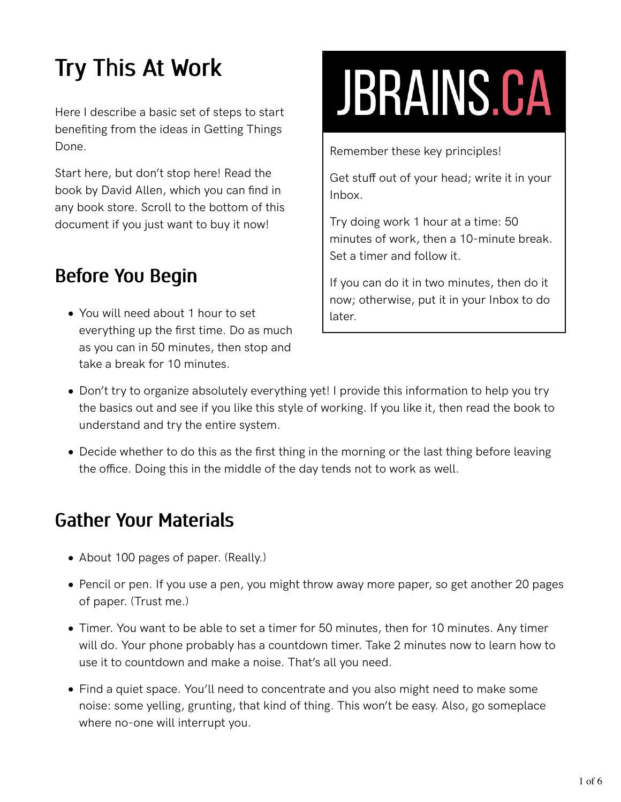# Try This At Work

Here I describe a basic set of steps to start benefiting from the ideas in Getting Things Done.

Start here, but don't stop here! Read the book by David Allen, which you can find in any book store. Scroll to the bottom of this document if you just want to buy it now!

## Before You Begin

You will need about 1 hour to set everything up the first time. Do as much as you can in 50 minutes, then stop and take a break for 10 minutes.

# **JBRAINS.CA**

Remember these key principles!

Get stuff out of your head; write it in your Inbox.

Try doing work 1 hour at a time: 50 minutes of work, then a 10-minute break. Set a timer and follow it.

If you can do it in two minutes, then do it now; otherwise, put it in your Inbox to do later.

- Don't try to organize absolutely everything yet! I provide this information to help you try the basics out and see if you like this style of working. If you like it, then read the book to understand and try the entire system.
- Decide whether to do this as the first thing in the morning or the last thing before leaving the office. Doing this in the middle of the day tends not to work as well.

#### Gather Your Materials

- About 100 pages of paper. (Really.)
- Pencil or pen. If you use a pen, you might throw away more paper, so get another 20 pages of paper. (Trust me.)
- Timer. You want to be able to set a timer for 50 minutes, then for 10 minutes. Any timer will do. Your phone probably has a countdown timer. Take 2 minutes now to learn how to use it to countdown and make a noise. That's all you need.
- Find a quiet space. You'll need to concentrate and you also might need to make some noise: some yelling, grunting, that kind of thing. This won't be easy. Also, go someplace where no-one will interrupt you.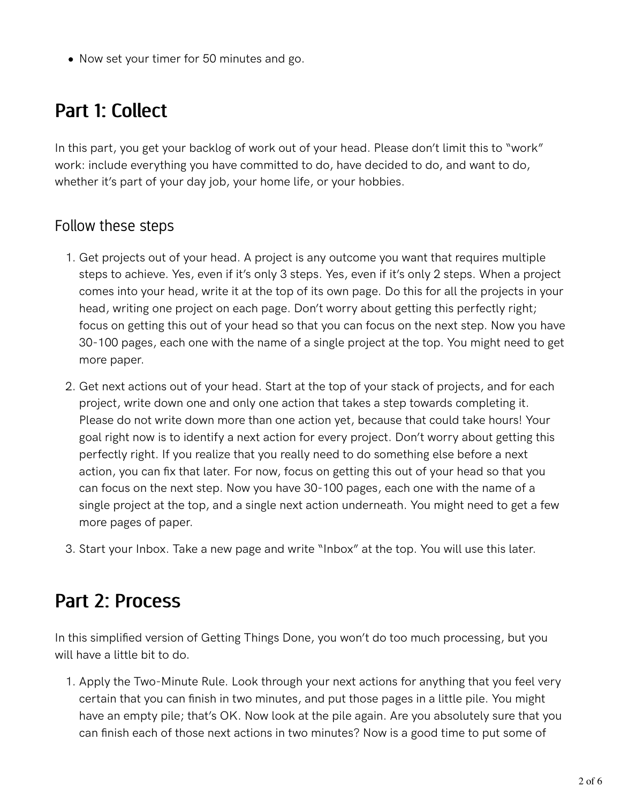Now set your timer for 50 minutes and go.

#### Part 1: Collect

In this part, you get your backlog of work out of your head. Please don't limit this to "work" work: include everything you have committed to do, have decided to do, and want to do, whether it's part of your day job, your home life, or your hobbies.

#### Follow these steps

- 1. Get projects out of your head. A project is any outcome you want that requires multiple steps to achieve. Yes, even if it's only 3 steps. Yes, even if it's only 2 steps. When a project comes into your head, write it at the top of its own page. Do this for all the projects in your head, writing one project on each page. Don't worry about getting this perfectly right; focus on getting this out of your head so that you can focus on the next step. Now you have 30-100 pages, each one with the name of a single project at the top. You might need to get more paper.
- 2. Get next actions out of your head. Start at the top of your stack of projects, and for each project, write down one and only one action that takes a step towards completing it. Please do not write down more than one action yet, because that could take hours! Your goal right now is to identify a next action for every project. Don't worry about getting this perfectly right. If you realize that you really need to do something else before a next action, you can fix that later. For now, focus on getting this out of your head so that you can focus on the next step. Now you have 30-100 pages, each one with the name of a single project at the top, and a single next action underneath. You might need to get a few more pages of paper.
- 3. Start your Inbox. Take a new page and write "Inbox" at the top. You will use this later.

#### Part 2: Process

In this simplified version of Getting Things Done, you won't do too much processing, but you will have a little bit to do.

1. Apply the Two-Minute Rule. Look through your next actions for anything that you feel very certain that you can finish in two minutes, and put those pages in a little pile. You might have an empty pile; that's OK. Now look at the pile again. Are you absolutely sure that you can finish each of those next actions in two minutes? Now is a good time to put some of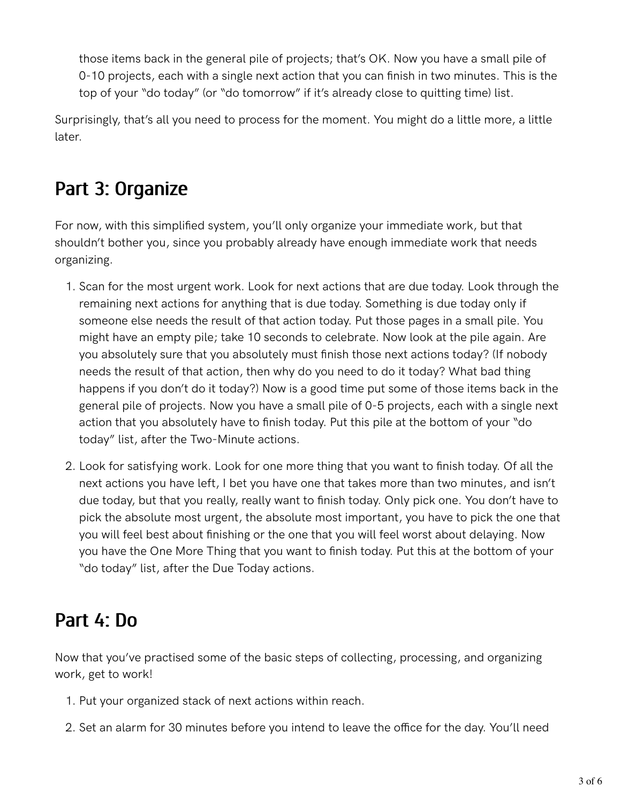those items back in the general pile of projects; that's OK. Now you have a small pile of 0-10 projects, each with a single next action that you can finish in two minutes. This is the top of your "do today" (or "do tomorrow" if it's already close to quitting time) list.

Surprisingly, that's all you need to process for the moment. You might do a little more, a little later.

#### Part 3: Organize

For now, with this simplified system, you'll only organize your immediate work, but that shouldn't bother you, since you probably already have enough immediate work that needs organizing.

- 1. Scan for the most urgent work. Look for next actions that are due today. Look through the remaining next actions for anything that is due today. Something is due today only if someone else needs the result of that action today. Put those pages in a small pile. You might have an empty pile; take 10 seconds to celebrate. Now look at the pile again. Are you absolutely sure that you absolutely must finish those next actions today? (If nobody needs the result of that action, then why do you need to do it today? What bad thing happens if you don't do it today?) Now is a good time put some of those items back in the general pile of projects. Now you have a small pile of 0-5 projects, each with a single next action that you absolutely have to finish today. Put this pile at the bottom of your "do today" list, after the Two-Minute actions.
- Look for satisfying work. Look for one more thing that you want to finish today. Of all the 2. next actions you have left, I bet you have one that takes more than two minutes, and isn't due today, but that you really, really want to finish today. Only pick one. You don't have to pick the absolute most urgent, the absolute most important, you have to pick the one that you will feel best about finishing or the one that you will feel worst about delaying. Now you have the One More Thing that you want to finish today. Put this at the bottom of your "do today" list, after the Due Today actions.

#### Part 4: Do

Now that you've practised some of the basic steps of collecting, processing, and organizing work, get to work!

- 1. Put your organized stack of next actions within reach.
- 2. Set an alarm for 30 minutes before you intend to leave the office for the day. You'll need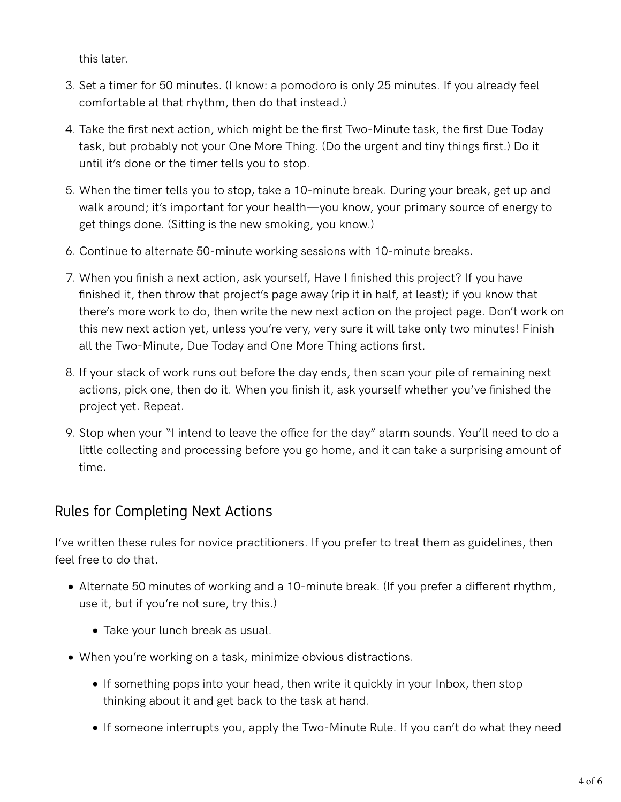this later.

- 3. Set a timer for 50 minutes. (I know: a pomodoro is only 25 minutes. If you already feel comfortable at that rhythm, then do that instead.)
- Take the first next action, which might be the first Two-Minute task, the first Due Today 4. task, but probably not your One More Thing. (Do the urgent and tiny things first.) Do it until it's done or the timer tells you to stop.
- When the timer tells you to stop, take a 10-minute break. During your break, get up and 5. walk around; it's important for your health—you know, your primary source of energy to get things done. (Sitting is the new smoking, you know.)
- 6. Continue to alternate 50-minute working sessions with 10-minute breaks.
- When you finish a next action, ask yourself, Have I finished this project? If you have 7. finished it, then throw that project's page away (rip it in half, at least); if you know that there's more work to do, then write the new next action on the project page. Don't work on this new next action yet, unless you're very, very sure it will take only two minutes! Finish all the Two-Minute, Due Today and One More Thing actions first.
- 8. If your stack of work runs out before the day ends, then scan your pile of remaining next actions, pick one, then do it. When you finish it, ask yourself whether you've finished the project yet. Repeat.
- 9. Stop when your "I intend to leave the office for the day" alarm sounds. You'll need to do a little collecting and processing before you go home, and it can take a surprising amount of time.

#### Rules for Completing Next Actions

I've written these rules for novice practitioners. If you prefer to treat them as guidelines, then feel free to do that.

- Alternate 50 minutes of working and a 10-minute break. (If you prefer a diferent rhythm, use it, but if you're not sure, try this.)
	- Take your lunch break as usual.
- When you're working on a task, minimize obvious distractions.
	- If something pops into your head, then write it quickly in your Inbox, then stop thinking about it and get back to the task at hand.
	- If someone interrupts you, apply the Two-Minute Rule. If you can't do what they need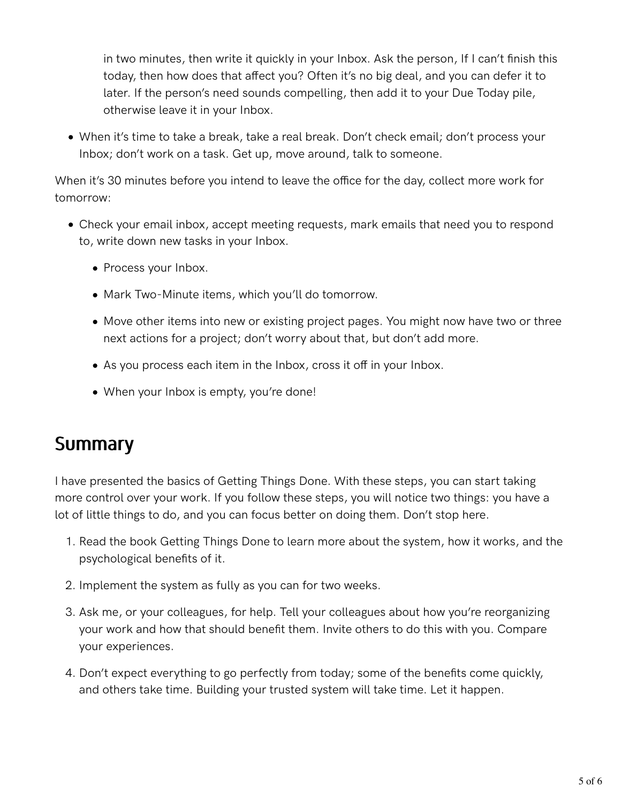in two minutes, then write it quickly in your Inbox. Ask the person, If I can't finish this today, then how does that afect you? Often it's no big deal, and you can defer it to later. If the person's need sounds compelling, then add it to your Due Today pile, otherwise leave it in your Inbox.

When it's time to take a break, take a real break. Don't check email; don't process your Inbox; don't work on a task. Get up, move around, talk to someone.

When it's 30 minutes before you intend to leave the office for the day, collect more work for tomorrow:

- Check your email inbox, accept meeting requests, mark emails that need you to respond to, write down new tasks in your Inbox.
	- Process your Inbox.
	- Mark Two-Minute items, which you'll do tomorrow.
	- Move other items into new or existing project pages. You might now have two or three next actions for a project; don't worry about that, but don't add more.
	- As you process each item in the Inbox, cross it off in your Inbox.
	- When your Inbox is empty, you're done!

#### **Summary**

I have presented the basics of Getting Things Done. With these steps, you can start taking more control over your work. If you follow these steps, you will notice two things: you have a lot of little things to do, and you can focus better on doing them. Don't stop here.

- 1. Read the book Getting Things Done to learn more about the system, how it works, and the psychological benefits of it.
- 2. Implement the system as fully as you can for two weeks.
- 3. Ask me, or your colleagues, for help. Tell your colleagues about how you're reorganizing your work and how that should benefit them. Invite others to do this with you. Compare your experiences.
- 4. Don't expect everything to go perfectly from today; some of the benefits come quickly, and others take time. Building your trusted system will take time. Let it happen.